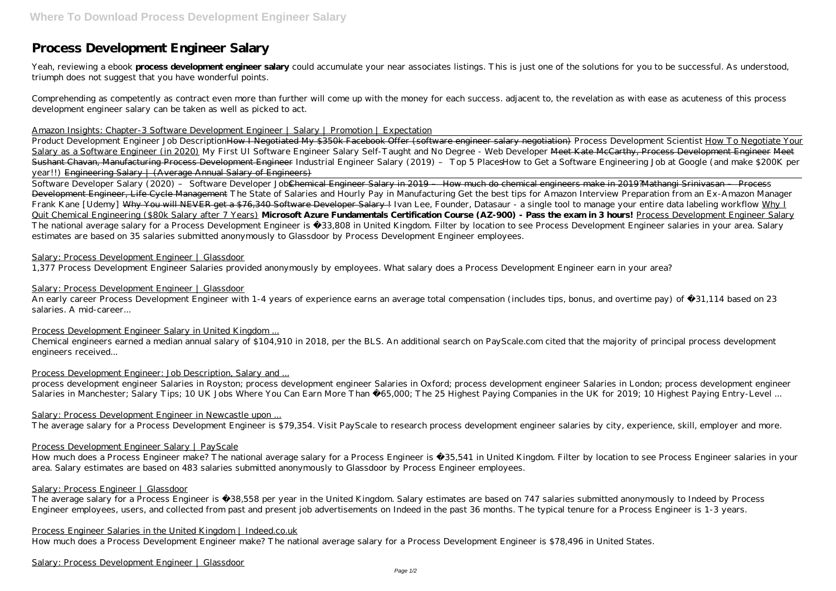# **Process Development Engineer Salary**

Yeah, reviewing a ebook **process development engineer salary** could accumulate your near associates listings. This is just one of the solutions for you to be successful. As understood, triumph does not suggest that you have wonderful points.

Comprehending as competently as contract even more than further will come up with the money for each success. adjacent to, the revelation as with ease as acuteness of this process development engineer salary can be taken as well as picked to act.

### Amazon Insights: Chapter-3 Software Development Engineer | Salary | Promotion | Expectation

Product Development Engineer Job DescriptionHow I Negotiated My \$350k Facebook Offer (software engineer salary negotiation) Process Development Scientist How To Negotiate Your Salary as a Software Engineer (in 2020) My First UI Software Engineer Salary Self-Taught and No Degree - Web Developer Meet Kate McCarthy, Process Development Engineer Meet Sushant Chavan, Manufacturing Process Development Engineer *Industrial Engineer Salary (2019) – Top 5 PlacesHow to Get a Software Engineering Job at Google (and make \$200K per year!!)* Engineering Salary | (Average Annual Salary of Engineers)

Software Developer Salary (2020) – Software Developer Job<del>Chemical Engineer Salary in 2019 – How much do chemical engineers make in 2019?Mathangi Srinivasan – Process</del> Development Engineer, Life Cycle Management *The State of Salaries and Hourly Pay in Manufacturing Get the best tips for Amazon Interview Preparation from an Ex-Amazon Manager Frank Kane [Udemy]* Why You will NEVER get a \$76,340 Software Developer Salary ! *Ivan Lee, Founder, Datasaur - a single tool to manage your entire data labeling workflow* Why I Quit Chemical Engineering (\$80k Salary after 7 Years) **Microsoft Azure Fundamentals Certification Course (AZ-900) - Pass the exam in 3 hours!** Process Development Engineer Salary The national average salary for a Process Development Engineer is £33,808 in United Kingdom. Filter by location to see Process Development Engineer salaries in your area. Salary estimates are based on 35 salaries submitted anonymously to Glassdoor by Process Development Engineer employees.

An early career Process Development Engineer with 1-4 years of experience earns an average total compensation (includes tips, bonus, and overtime pay) of £31,114 based on 23 salaries. A mid-career...

process development engineer Salaries in Royston; process development engineer Salaries in Oxford; process development engineer Salaries in London; process development engineer Salaries in Manchester; Salary Tips; 10 UK Jobs Where You Can Earn More Than £65,000; The 25 Highest Paying Companies in the UK for 2019; 10 Highest Paying Entry-Level ...

The average salary for a Process Engineer is £38,558 per year in the United Kingdom. Salary estimates are based on 747 salaries submitted anonymously to Indeed by Process Engineer employees, users, and collected from past and present job advertisements on Indeed in the past 36 months. The typical tenure for a Process Engineer is 1-3 years.

## Salary: Process Development Engineer | Glassdoor

1,377 Process Development Engineer Salaries provided anonymously by employees. What salary does a Process Development Engineer earn in your area?

## Salary: Process Development Engineer | Glassdoor

### Process Development Engineer Salary in United Kingdom ...

Chemical engineers earned a median annual salary of \$104,910 in 2018, per the BLS. An additional search on PayScale.com cited that the majority of principal process development engineers received...

### Process Development Engineer: Job Description, Salary and ...

# Salary: Process Development Engineer in Newcastle upon ...

The average salary for a Process Development Engineer is \$79,354. Visit PayScale to research process development engineer salaries by city, experience, skill, employer and more.

# Process Development Engineer Salary | PayScale

How much does a Process Engineer make? The national average salary for a Process Engineer is £35,541 in United Kingdom. Filter by location to see Process Engineer salaries in your area. Salary estimates are based on 483 salaries submitted anonymously to Glassdoor by Process Engineer employees.

### Salary: Process Engineer | Glassdoor

## Process Engineer Salaries in the United Kingdom | Indeed.co.uk

How much does a Process Development Engineer make? The national average salary for a Process Development Engineer is \$78,496 in United States.

Salary: Process Development Engineer | Glassdoor